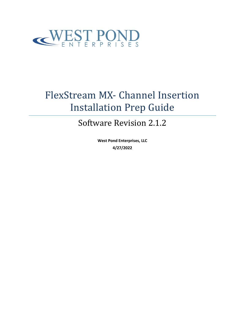

# FlexStream MX- Channel Insertion Installation Prep Guide

## Software Revision 2.1.2

**West Pond Enterprises, LLC 4/27/2022**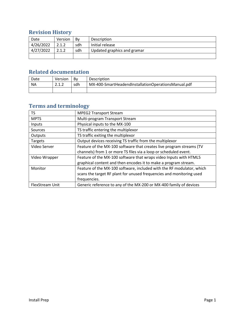## **Revision History**

| Date      | Version | Bv  | Description                 |
|-----------|---------|-----|-----------------------------|
| 4/26/2022 | 2.1.2   | sdh | Initial release             |
| 4/27/2022 | 2.1.2   | sdh | Updated graphics and gramar |
|           |         |     |                             |

### **Related documentation**

| Date | Version | Bv  | <b>Description</b>                                  |
|------|---------|-----|-----------------------------------------------------|
| ΝA   | າ 1 າ   | sdh | MX-400-SmartHeadendInstallationOperationsManual.pdf |
|      |         |     |                                                     |

## **Terms and terminology**

| TS              | <b>MPEG2 Transport Stream</b>                                         |
|-----------------|-----------------------------------------------------------------------|
| <b>MPTS</b>     | Multi-program Transport Stream                                        |
| Inputs          | Physical inputs to the MX-100                                         |
| Sources         | TS traffic entering the multiplexor                                   |
| Outputs         | TS traffic exiting the multiplexor                                    |
| Targets         | Output devices receiving TS traffic from the multiplexor              |
| Video Server    | Feature of the MX-100 software that creates live program streams (TV  |
|                 | channels) from 1 or more TS files via a loop or scheduled event.      |
| Video Wrapper   | Feature of the MX-100 software that wraps video Inputs with HTML5     |
|                 | graphical content and then encodes it to make a program stream.       |
| Monitor         | Feature of the MX-100 software, included with the RF modulator, which |
|                 | scans the target RF plant for unused frequencies and monitoring used  |
|                 | frequencies.                                                          |
| FlexStream Unit | Generic reference to any of the MX-200 or MX-400 family of devices    |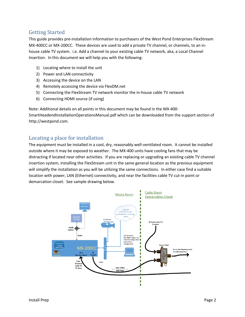#### Getting Started

This guide provides pre-installation information to purchasers of the West Pond Enterprises FlexStream MX-400CC or MX-200CC. These devices are used to add a private TV channel, or channels, to an inhouse cable TV system. i.e. Add a channel to your existing cable TV network, aka, a Local Channel Insertion. In this document we will help you with the following:

- 1) Locating where to install the unit
- 2) Power and LAN connectivity
- 3) Accessing the device on the LAN
- 4) Remotely accessing the device via FlexDM.net
- 5) Connecting the FlexStream TV network monitor the in-house cable TV network
- 6) Connecting HDMI source (if using)

Note: Additional details on all points in this document may be found in the MX-400- SmartHeadendInstallationOperationsManual.pdf which can be downloaded from the support section of http://westpond.com.

#### Locating a place for installation

The equipment must be installed in a cool, dry, reasonably well-ventilated room. It cannot be installed outside where it may be exposed to weather. The MX-400 units have cooling fans that may be distracting if located near other activities. If you are replacing or upgrading an existing cable TV channel insertion system, installing the FlexStream unit in the same general location as the previous equipment will simplify the installation as you will be utilizing the same connections. In either case find a suitable location with power, LAN (Ethernet) connectivity, and near the facilities cable TV cut-in point or demarcation closet. See sample drawing below.

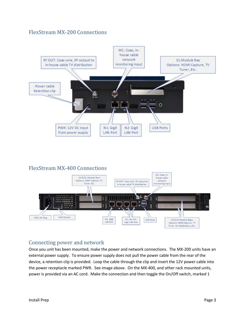#### FlexStream MX-200 Connections



#### FlexStream MX-400 Connections



#### Connecting power and network

Once you unit has been mounted, make the power and network connections. The MX-200 units have an external power supply. To ensure power supply does not pull the power cable from the rear of the device, a retention clip is provided. Loop the cable through the clip and insert the 12V power cable into the power receptacle marked PWR. See image above. On the MX-400, and other rack mounted units, power is provided via an AC cord. Make the connection and then toggle the On/Off switch, marked 1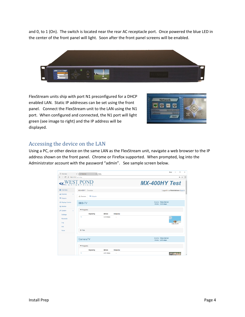and 0, to 1 (On). The switch is located near the rear AC receptacle port. Once powered the blue LED in the center of the front panel will light. Soon after the front panel screens will be enabled.



FlexStream units ship with port N1 preconfigured for a DHCP enabled LAN. Static IP addresses can be set using the front panel. Connect the FlexStream unit to the LAN using the N1 port. When configured and connected, the N1 port will light green (see image to right) and the IP address will be displayed.



#### Accessing the device on the LAN

Using a PC, or other device on the same LAN as the FlexStream unit, navigate a web browser to the IP address shown on the front panel. Chrome or Firefox supported. When prompted, log into the Administrator account with the password "admin". See sample screen below.

| n Overview<br>$\leftarrow$<br>$\mathcal{C}^*$<br>$\longrightarrow$ | x<br>$\times$ $\Box$ Overview         |                |                      | $\Box$<br>$\times$<br><b>Rores</b>         |  |  |  |
|--------------------------------------------------------------------|---------------------------------------|----------------|----------------------|--------------------------------------------|--|--|--|
| 2 10.0.0.152/overview<br>$\vdots$<br>叶立                            |                                       |                |                      |                                            |  |  |  |
|                                                                    |                                       |                | <b>MX-400HY Test</b> |                                            |  |  |  |
| <b>C</b> Overview                                                  | MX-400HY / Overview                   |                |                      | Logged in as Administrator (logout)        |  |  |  |
| A. Sources<br>$\epsilon$<br><b>← Outputs</b>                       | <b>A.</b> Sources<br><b>♥ Outputs</b> |                |                      |                                            |  |  |  |
| O Display Control                                                  | <b>BBB-TV</b>                         |                |                      | Source: Video Server<br>Bitrate: 3.53 mbps |  |  |  |
| Q Monitor                                                          |                                       |                |                      |                                            |  |  |  |
| <b>⊁</b> System<br>$\epsilon$                                      | ▼ Programs                            |                |                      |                                            |  |  |  |
| Settings                                                           | Signaling                             | <b>Bltrate</b> | Output(s)            |                                            |  |  |  |
| <b>Accounts</b><br>Log<br>Info                                     | 1                                     | 3.49 mbps      | $\sim$               | 720p 59.94                                 |  |  |  |
| Tools                                                              | $\blacktriangleright$ Picis           |                |                      |                                            |  |  |  |
|                                                                    |                                       |                |                      |                                            |  |  |  |
|                                                                    | CameraTV                              |                |                      | Source: Video Server<br>Bitrate: 2.05 mbps |  |  |  |
|                                                                    | $\blacktriangleright$ Programs        |                |                      |                                            |  |  |  |
|                                                                    | Signaling                             | <b>Bitrate</b> | Output(s)            |                                            |  |  |  |
|                                                                    | 1                                     | 2.01 mbps      | $\sim$               | $\overline{\phantom{a}}$                   |  |  |  |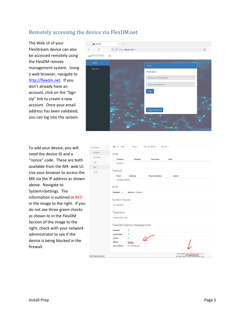#### Remotely accessing the device via FlexDM.net

The Web UI of your FlexStream device can also be accessed remotely using the FlexDM remote management system. Using a web browser, navigate to [http://flexdm.net.](http://flexdm.net/) If you don't already have an account, click on the "Sign Up" link to create a new account. Once your email address has been validated, you can log into the system.



To add your device, you will need the device ID and a "nonce" code. These are both available from the MX- web UI. Use your browser to access the MX via the IP address as shown above. Navigate to System>Settings. The information is outlined in RED in the image to the right. If you do not see three green checks as shown to in the FlexDM Section of the image to the right, check with your network administrator to see if the device is being blocked in the firewall.

| $\sim$ System         | Ċ | N4 % 1000                | <b>Dhcp</b>        | 172.16.1.89 /24       | 172.16.1.1  |                                                                   |  |  |  |  |
|-----------------------|---|--------------------------|--------------------|-----------------------|-------------|-------------------------------------------------------------------|--|--|--|--|
| Settings              |   | <b>VPN</b>               |                    |                       |             |                                                                   |  |  |  |  |
| <b>Accounts</b>       |   | Protocol                 | <b>Address</b>     | <b>Username</b>       | <b>Host</b> |                                                                   |  |  |  |  |
| Log                   |   | openvpn                  |                    |                       |             |                                                                   |  |  |  |  |
| Info                  |   |                          |                    |                       |             |                                                                   |  |  |  |  |
| <b>Tools</b>          |   | Firewall                 |                    |                       |             |                                                                   |  |  |  |  |
|                       |   | Rank                     | Interface          | <b>Source Address</b> |             | <b>Action</b>                                                     |  |  |  |  |
|                       |   | No Rules defined         |                    |                       |             |                                                                   |  |  |  |  |
|                       |   | <b>NTP</b>               |                    |                       |             |                                                                   |  |  |  |  |
|                       |   |                          |                    |                       |             |                                                                   |  |  |  |  |
|                       |   | Enabled: v               | Servers: (Default) |                       |             |                                                                   |  |  |  |  |
|                       |   | <b>System Name</b>       |                    |                       |             |                                                                   |  |  |  |  |
|                       |   |                          |                    |                       |             |                                                                   |  |  |  |  |
|                       |   | <b>MX-400LAB1</b>        |                    |                       |             |                                                                   |  |  |  |  |
|                       |   | Timezone                 |                    |                       |             |                                                                   |  |  |  |  |
|                       |   |                          |                    |                       |             |                                                                   |  |  |  |  |
|                       |   | America/New_York         |                    |                       |             |                                                                   |  |  |  |  |
|                       |   | FlexDM Remote Management |                    |                       |             |                                                                   |  |  |  |  |
|                       |   | <b>Enabled</b>           | ✔                  |                       |             |                                                                   |  |  |  |  |
|                       |   | <b>Authorized</b>        | ✔                  |                       |             |                                                                   |  |  |  |  |
|                       |   | Online                   | ✔                  |                       |             |                                                                   |  |  |  |  |
|                       |   | <b>Nonce</b>             | MS7L#              |                       |             |                                                                   |  |  |  |  |
|                       |   | <b>Last Checkin</b>      | 57 Minutes ago     |                       |             |                                                                   |  |  |  |  |
|                       |   |                          |                    |                       |             |                                                                   |  |  |  |  |
| 0.2.1.189/system/info |   |                          |                    |                       |             | MX-400KS (00139528ECD4) 2.1.2<br>2022 West Pond Enterprises, LLC. |  |  |  |  |
|                       |   |                          |                    |                       |             |                                                                   |  |  |  |  |